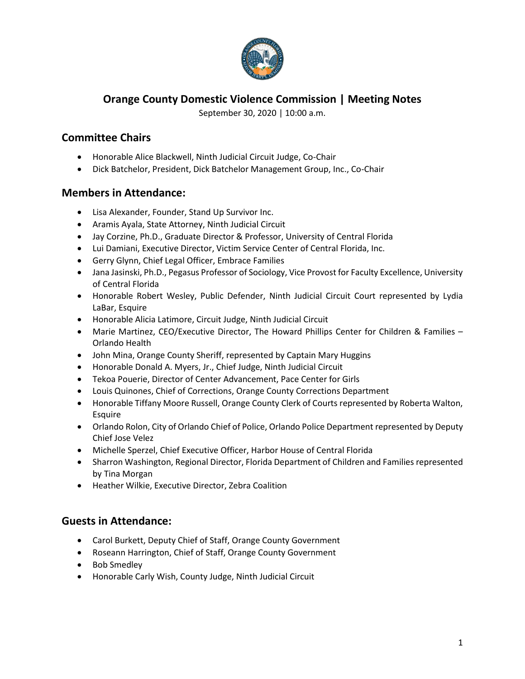

# **Orange County Domestic Violence Commission | Meeting Notes**

September 30, 2020 | 10:00 a.m.

# **Committee Chairs**

- Honorable Alice Blackwell, Ninth Judicial Circuit Judge, Co-Chair
- Dick Batchelor, President, Dick Batchelor Management Group, Inc., Co-Chair

## **Members in Attendance:**

- Lisa Alexander, Founder, Stand Up Survivor Inc.
- Aramis Ayala, State Attorney, Ninth Judicial Circuit
- Jay Corzine, Ph.D., Graduate Director & Professor, University of Central Florida
- Lui Damiani, Executive Director, Victim Service Center of Central Florida, Inc.
- Gerry Glynn, Chief Legal Officer, Embrace Families
- Jana Jasinski, Ph.D., Pegasus Professor of Sociology, Vice Provost for Faculty Excellence, University of Central Florida
- Honorable Robert Wesley, Public Defender, Ninth Judicial Circuit Court represented by Lydia LaBar, Esquire
- Honorable Alicia Latimore, Circuit Judge, Ninth Judicial Circuit
- Marie Martinez, CEO/Executive Director, The Howard Phillips Center for Children & Families Orlando Health
- John Mina, Orange County Sheriff, represented by Captain Mary Huggins
- Honorable Donald A. Myers, Jr., Chief Judge, Ninth Judicial Circuit
- Tekoa Pouerie, Director of Center Advancement, Pace Center for Girls
- Louis Quinones, Chief of Corrections, Orange County Corrections Department
- Honorable Tiffany Moore Russell, Orange County Clerk of Courts represented by Roberta Walton, Esquire
- Orlando Rolon, City of Orlando Chief of Police, Orlando Police Department represented by Deputy Chief Jose Velez
- Michelle Sperzel, Chief Executive Officer, Harbor House of Central Florida
- Sharron Washington, Regional Director, Florida Department of Children and Families represented by Tina Morgan
- Heather Wilkie, Executive Director, Zebra Coalition

#### **Guests in Attendance:**

- Carol Burkett, Deputy Chief of Staff, Orange County Government
- Roseann Harrington, Chief of Staff, Orange County Government
- Bob Smedley
- Honorable Carly Wish, County Judge, Ninth Judicial Circuit